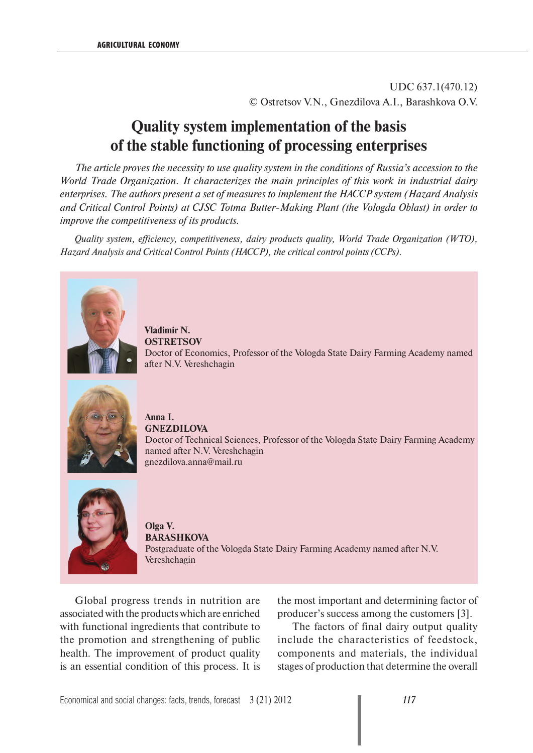UDC 637.1(470.12) © Ostretsov V.N., Gnezdilova A.I., Barashkova O.V.

# **Quality system implementation of the basis of the stable functioning of processing enterprises**

*The article proves the necessity to use quality system in the conditions of Russia's accession to the World Trade Organization. It characterizes the main principles of this work in industrial dairy enterprises. The authors present a set of measures to implement the HACCP system (Hazard Analysis and Critical Control Points) at CJSC Totma Butter-Making Plant (the Vologda Oblast) in order to improve the competitiveness of its products.*

*Quality system, efficiency, competitiveness, dairy products quality, World Trade Organization (WTO), Hazard Analysis and Critical Control Points (HACCP), the critical control points (CCPs).*



**Vladimir N. OSTRETSOV** Doctor of Economics, Professor of the Vologda State Dairy Farming Academy named after N.V. Vereshchagin



**Anna I. GNEZDILOVA** Doctor of Technical Sciences, Professor of the Vologda State Dairy Farming Academy named after N.V. Vereshchagin gnezdilova.anna@mail.ru



**Olga V. BARASHKOVA**  Postgraduate of the Vologda State Dairy Farming Academy named after N.V. Vereshchagin

Global progress trends in nutrition are associated with the products which are enriched with functional ingredients that contribute to the promotion and strengthening of public health. The improvement of product quality is an essential condition of this process. It is the most important and determining factor of producer's success among the customers [3].

The factors of final dairy output quality include the characteristics of feedstock, components and materials, the individual stages of production that determine the overall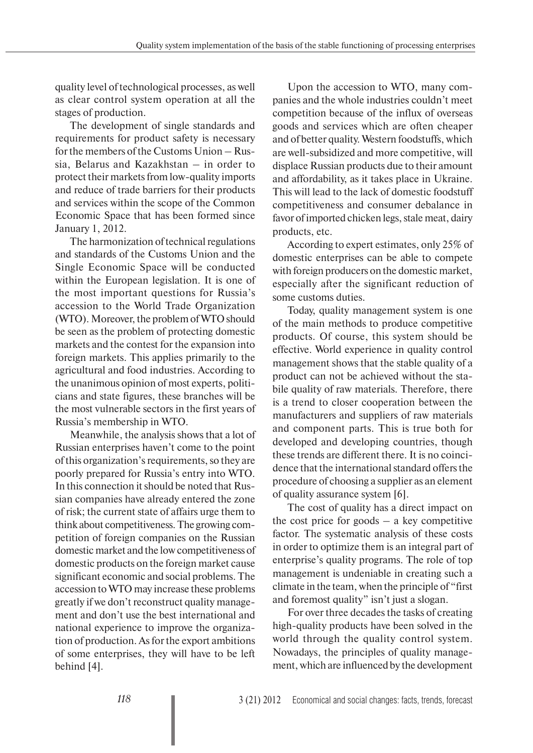quality level of technological processes, as well as clear control system operation at all the stages of production.

The development of single standards and requirements for product safety is necessary for the members of the Customs Union – Russia, Belarus and Kazakhstan – in order to protect their markets from low-quality imports and reduce of trade barriers for their products and services within the scope of the Common Economic Space that has been formed since January 1, 2012.

The harmonization of technical regulations and standards of the Customs Union and the Single Economic Space will be conducted within the European legislation. It is one of the most important questions for Russia's accession to the World Trade Organization (WTO). Moreover, the problem of WTO should be seen as the problem of protecting domestic markets and the contest for the expansion into foreign markets. This applies primarily to the agricultural and food industries. According to the unanimous opinion of most experts, politicians and state figures, these branches will be the most vulnerable sectors in the first years of Russia's membership in WTO.

Meanwhile, the analysis shows that a lot of Russian enterprises haven't come to the point of this organization's requirements, so they are poorly prepared for Russia's entry into WTO. In this connection it should be noted that Russian companies have already entered the zone of risk; the current state of affairs urge them to think about competitiveness. The growing competition of foreign companies on the Russian domestic market and the low competitiveness of domestic products on the foreign market cause significant economic and social problems. The accession to WTO may increase these problems greatly if we don't reconstruct quality management and don't use the best international and national experience to improve the organization of production. As for the export ambitions of some enterprises, they will have to be left behind [4].

Upon the accession to WTO, many companies and the whole industries couldn't meet competition because of the influx of overseas goods and services which are often cheaper and of better quality. Western foodstuffs, which are well-subsidized and more competitive, will displace Russian products due to their amount and affordability, as it takes place in Ukraine. This will lead to the lack of domestic foodstuff competitiveness and consumer debalance in favor of imported chicken legs, stale meat, dairy products, etc.

According to expert estimates, only 25% of domestic enterprises can be able to compete with foreign producers on the domestic market, especially after the significant reduction of some customs duties.

Today, quality management system is one of the main methods to produce competitive products. Of course, this system should be effective. World experience in quality control management shows that the stable quality of a product can not be achieved without the stabile quality of raw materials. Therefore, there is a trend to closer cooperation between the manufacturers and suppliers of raw materials and component parts. This is true both for developed and developing countries, though these trends are different there. It is no coincidence that the international standard offers the procedure of choosing a supplier as an element of quality assurance system [6].

The cost of quality has a direct impact on the cost price for goods  $-$  a key competitive factor. The systematic analysis of these costs in order to optimize them is an integral part of enterprise's quality programs. The role of top management is undeniable in creating such a climate in the team, when the principle of "first and foremost quality" isn't just a slogan.

For over three decades the tasks of creating high-quality products have been solved in the world through the quality control system. Nowadays, the principles of quality management, which are influenced by the development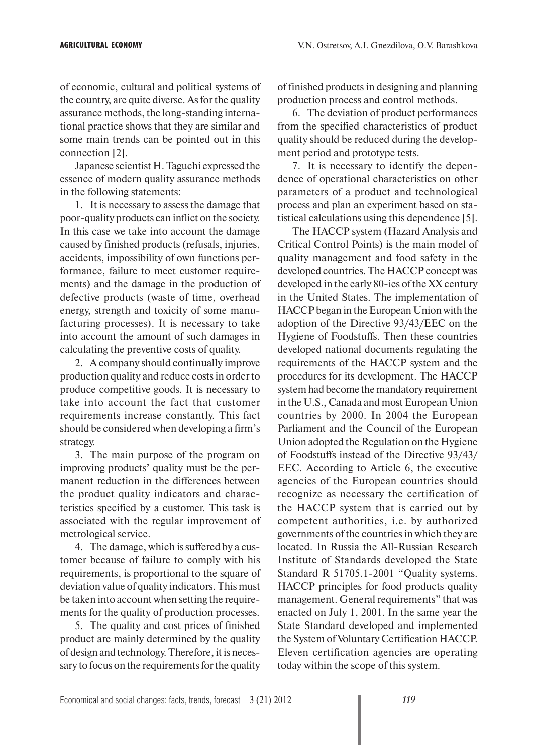of economic, cultural and political systems of the country, are quite diverse. As for the quality assurance methods, the long-standing international practice shows that they are similar and some main trends can be pointed out in this connection [2].

Japanese scientist H. Taguchi expressed the essence of modern quality assurance methods in the following statements:

1. It is necessary to assess the damage that poor-quality products can inflict on the society. In this case we take into account the damage caused by finished products (refusals, injuries, accidents, impossibility of own functions performance, failure to meet customer requirements) and the damage in the production of defective products (waste of time, overhead energy, strength and toxicity of some manufacturing processes). It is necessary to take into account the amount of such damages in calculating the preventive costs of quality.

2. A company should continually improve production quality and reduce costs in order to produce competitive goods. It is necessary to take into account the fact that customer requirements increase constantly. This fact should be considered when developing a firm's strategy.

3. The main purpose of the program on improving products' quality must be the permanent reduction in the differences between the product quality indicators and characteristics specified by a customer. This task is associated with the regular improvement of metrological service.

4. The damage, which is suffered by a customer because of failure to comply with his requirements, is proportional to the square of deviation value of quality indicators. This must be taken into account when setting the requirements for the quality of production processes.

5. The quality and cost prices of finished product are mainly determined by the quality of design and technology. Therefore, it is necessary to focus on the requirements for the quality of finished products in designing and planning production process and control methods.

6. The deviation of product performances from the specified characteristics of product quality should be reduced during the development period and prototype tests.

7. It is necessary to identify the dependence of operational characteristics on other parameters of a product and technological process and plan an experiment based on statistical calculations using this dependence [5].

The HACCP system (Hazard Analysis and Critical Control Points) is the main model of quality management and food safety in the developed countries. The HACCP concept was developed in the early 80-ies of the XX century in the United States. The implementation of HACCP began in the European Union with the adoption of the Directive 93/43/EEC on the Hygiene of Foodstuffs. Then these countries developed national documents regulating the requirements of the HACCP system and the procedures for its development. The HACCP system had become the mandatory requirement in the U.S., Canada and most European Union countries by 2000. In 2004 the European Parliament and the Council of the European Union adopted the Regulation on the Hygiene of Foodstuffs instead of the Directive 93/43/ EEC. According to Article 6, the executive agencies of the European countries should recognize as necessary the certification of the HACCP system that is carried out by competent authorities, i.e. by authorized governments of the countries in which they are located. In Russia the All-Russian Research Institute of Standards developed the State Standard R 51705.1-2001 "Quality systems. HACCP principles for food products quality management. General requirements" that was enacted on July 1, 2001. In the same year the State Standard developed and implemented the System of Voluntary Certification HACCP. Eleven certification agencies are operating today within the scope of this system.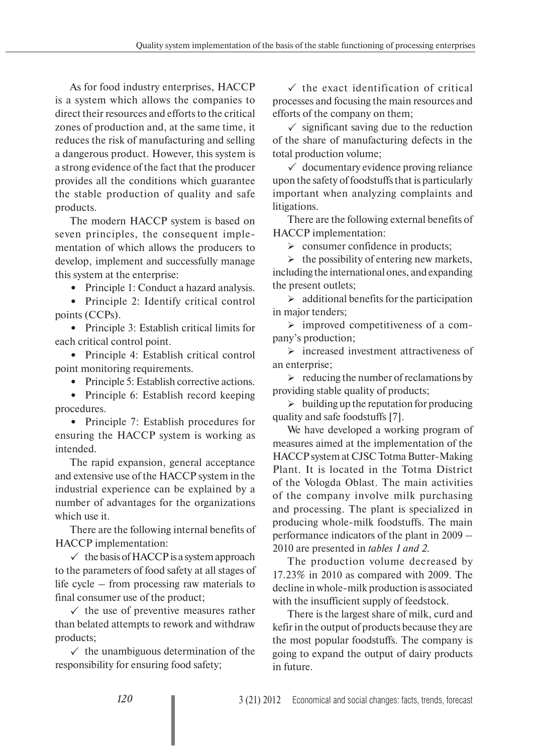As for food industry enterprises, HACCP is a system which allows the companies to direct their resources and efforts to the critical zones of production and, at the same time, it reduces the risk of manufacturing and selling a dangerous product. However, this system is a strong evidence of the fact that the producer provides all the conditions which guarantee the stable production of quality and safe products.

The modern HACCP system is based on seven principles, the consequent implementation of which allows the producers to develop, implement and successfully manage this system at the enterprise:

**•** Principle 1: Conduct a hazard analysis.

**•** Principle 2: Identify critical control points (CCPs).

**•** Principle 3: Establish critical limits for each critical control point.

**•** Principle 4: Establish critical control point monitoring requirements.

• Principle 5: Establish corrective actions.

**•** Principle 6: Establish record keeping procedures.

**•** Principle 7: Establish procedures for ensuring the HACCP system is working as intended.

The rapid expansion, general acceptance and extensive use of the HACCP system in the industrial experience can be explained by a number of advantages for the organizations which use it.

There are the following internal benefits of HACCP implementation:

 $\checkmark$  the basis of HACCP is a system approach to the parameters of food safety at all stages of life cycle – from processing raw materials to final consumer use of the product;

 $\checkmark$  the use of preventive measures rather than belated attempts to rework and withdraw products;

 $\checkmark$  the unambiguous determination of the responsibility for ensuring food safety;

 $\checkmark$  the exact identification of critical processes and focusing the main resources and efforts of the company on them;

 $\checkmark$  significant saving due to the reduction of the share of manufacturing defects in the total production volume;

 $\checkmark$  documentary evidence proving reliance upon the safety of foodstuffs that is particularly important when analyzing complaints and litigations.

There are the following external benefits of HACCP implementation:

 $\triangleright$  consumer confidence in products;

 $\triangleright$  the possibility of entering new markets, including the international ones, and expanding the present outlets;

 $\triangleright$  additional benefits for the participation in major tenders:

 $\triangleright$  improved competitiveness of a company's production;

 $\triangleright$  increased investment attractiveness of an enterprise;

 $\triangleright$  reducing the number of reclamations by providing stable quality of products;

 $\triangleright$  building up the reputation for producing quality and safe foodstuffs [7].

We have developed a working program of measures aimed at the implementation of the HACCP system at CJSC Totma Butter-Making Plant. It is located in the Totma District of the Vologda Oblast. The main activities of the company involve milk purchasing and processing. The plant is specialized in producing whole-milk foodstuffs. The main performance indicators of the plant in 2009 – 2010 are presented in *tables 1 and 2*.

The production volume decreased by 17.23% in 2010 as compared with 2009. The decline in whole-milk production is associated with the insufficient supply of feedstock.

There is the largest share of milk, curd and kefir in the output of products because they are the most popular foodstuffs. The company is going to expand the output of dairy products in future.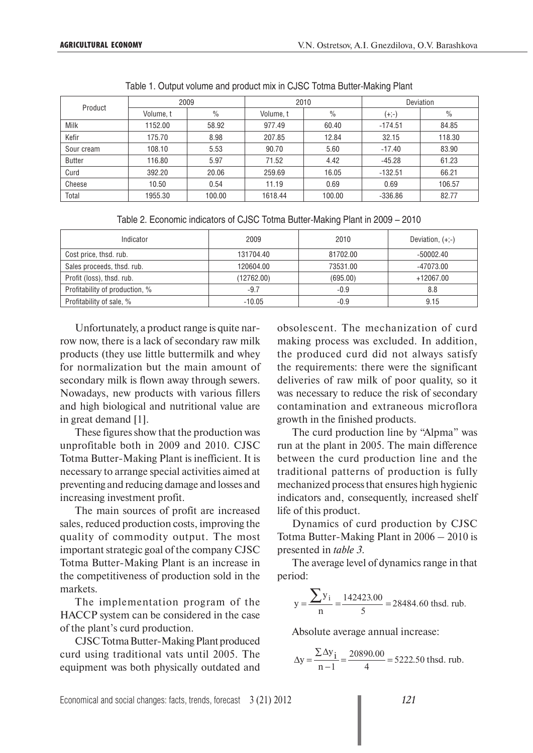|               |           | 2009          |           | 2010          | Deviation |        |  |
|---------------|-----------|---------------|-----------|---------------|-----------|--------|--|
| Product       | Volume, t | $\frac{0}{0}$ | Volume, t | $\frac{0}{0}$ | $(+;-)$   | $\%$   |  |
| Milk          | 1152.00   | 58.92         | 977.49    | 60.40         | $-174.51$ | 84.85  |  |
| Kefir         | 175.70    | 8.98          | 207.85    | 12.84         | 32.15     | 118.30 |  |
| Sour cream    | 108.10    | 5.53          | 90.70     | 5.60          | $-17.40$  | 83.90  |  |
| <b>Butter</b> | 116.80    | 5.97          | 71.52     | 4.42          | $-45.28$  | 61.23  |  |
| Curd          | 392.20    | 20.06         | 259.69    | 16.05         | $-132.51$ | 66.21  |  |
| Cheese        | 10.50     | 0.54          | 11.19     | 0.69          | 0.69      | 106.57 |  |
| Total         | 1955.30   | 100.00        | 1618.44   | 100.00        | $-336.86$ | 82.77  |  |

Table 1. Output volume and product mix in CJSC Totma Butter-Making Plant

| Indicator                      | 2009       | 2010     | Deviation, $(+;-)$ |
|--------------------------------|------------|----------|--------------------|
| Cost price, thsd. rub.         | 131704.40  | 81702.00 | $-50002.40$        |
| Sales proceeds, thsd. rub.     | 120604.00  | 73531.00 | -47073.00          |
| Profit (loss), thsd. rub.      | (12762.00) | (695.00) | +12067.00          |
| Profitability of production, % | $-9.7$     | $-0.9$   | 8.8                |
| Profitability of sale, %       | $-10.05$   | $-0.9$   | 9.15               |

Unfortunately, a product range is quite narrow now, there is a lack of secondary raw milk products (they use little buttermilk and whey for normalization but the main amount of secondary milk is flown away through sewers. Nowadays, new products with various fillers and high biological and nutritional value are in great demand [1].

These figures show that the production was unprofitable both in 2009 and 2010. CJSC Totma Butter-Making Plant is inefficient. It is necessary to arrange special activities aimed at preventing and reducing damage and losses and increasing investment profit.

The main sources of profit are increased sales, reduced production costs, improving the quality of commodity output. The most important strategic goal of the company CJSC Totma Butter-Making Plant is an increase in the competitiveness of production sold in the markets.

The implementation program of the HACCP system can be considered in the case of the plant's curd production.

CJSC Totma Butter-Making Plant produced curd using traditional vats until 2005. The equipment was both physically outdated and obsolescent. The mechanization of curd making process was excluded. In addition, the produced curd did not always satisfy the requirements: there were the significant deliveries of raw milk of poor quality, so it was necessary to reduce the risk of secondary contamination and extraneous microflora growth in the finished products.

The curd production line by "Alpma" was run at the plant in 2005. The main difference between the curd production line and the traditional patterns of production is fully mechanized process that ensures high hygienic indicators and, consequently, increased shelf life of this product.

Dynamics of curd production by CJSC Totma Butter-Making Plant in 2006 – 2010 is presented in *table 3*.

The average level of dynamics range in that period:

$$
y = \frac{\sum y_i}{n} = \frac{142423.00}{5} = 28484.60
$$
thsd. rub.

Absolute average annual increase:

$$
\Delta y = \frac{\sum \Delta y_i}{n-1} = \frac{20890.00}{4} = 5222.50
$$
 thsd. rub.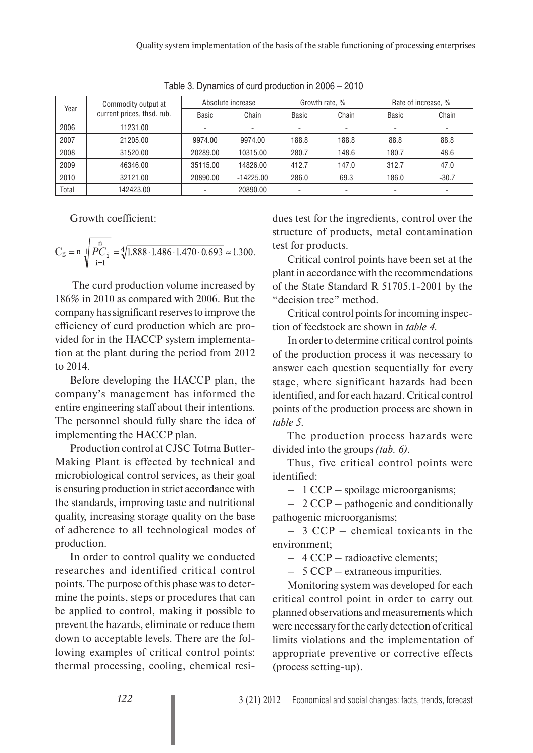Quality system implementation of the basis of the stable functioning of processing enterprises

| Year  | Commodity output at        | Absolute increase |             | Growth rate, % |       | Rate of increase, % |         |
|-------|----------------------------|-------------------|-------------|----------------|-------|---------------------|---------|
|       | current prices, thsd. rub. | Basic             | Chain       | Basic          | Chain | Basic               | Chain   |
| 2006  | 11231.00                   |                   |             |                |       |                     |         |
| 2007  | 21205.00                   | 9974.00           | 9974.00     | 188.8          | 188.8 | 88.8                | 88.8    |
| 2008  | 31520.00                   | 20289.00          | 10315.00    | 280.7          | 148.6 | 180.7               | 48.6    |
| 2009  | 46346.00                   | 35115.00          | 14826.00    | 412.7          | 147.0 | 312.7               | 47.0    |
| 2010  | 32121.00                   | 20890.00          | $-14225.00$ | 286.0          | 69.3  | 186.0               | $-30.7$ |
| Total | 142423.00                  |                   | 20890.00    |                |       |                     |         |

Table 3. Dynamics of curd production in 2006 – 2010

Growth coefficient:

$$
C_g = n - \sqrt{\frac{n}{PC_i}} = \sqrt[4]{1.888 \cdot 1.486 \cdot 1.470 \cdot 0.693} \approx 1.300.
$$

 The curd production volume increased by 186% in 2010 as compared with 2006. But the company has significant reserves to improve the efficiency of curd production which are provided for in the HACCP system implementation at the plant during the period from 2012 to 2014.

Before developing the HACCP plan, the company's management has informed the entire engineering staff about their intentions. The personnel should fully share the idea of implementing the HACCP plan.

Production control at CJSC Totma Butter-Making Plant is effected by technical and microbiological control services, as their goal is ensuring production in strict accordance with the standards, improving taste and nutritional quality, increasing storage quality on the base of adherence to all technological modes of production.

In order to control quality we conducted researches and identified critical control points. The purpose of this phase was to determine the points, steps or procedures that can be applied to control, making it possible to prevent the hazards, eliminate or reduce them down to acceptable levels. There are the following examples of critical control points: thermal processing, cooling, chemical residues test for the ingredients, control over the structure of products, metal contamination test for products.

Critical control points have been set at the plant in accordance with the recommendations of the State Standard R 51705.1-2001 by the "decision tree" method.

Critical control points for incoming inspection of feedstock are shown in *table 4*.

In order to determine critical control points of the production process it was necessary to answer each question sequentially for every stage, where significant hazards had been identified, and for each hazard. Critical control points of the production process are shown in *table 5*.

The production process hazards were divided into the groups *(tab. 6)*.

Thus, five critical control points were identified:

– 1 CCP – spoilage microorganisms;

– 2 CCP – pathogenic and conditionally pathogenic microorganisms;

– 3 CCP – chemical toxicants in the environment;

– 4 CCP – radioactive elements;

– 5 CCP – extraneous impurities.

Monitoring system was developed for each critical control point in order to carry out planned observations and measurements which were necessary for the early detection of critical limits violations and the implementation of appropriate preventive or corrective effects (process setting-up).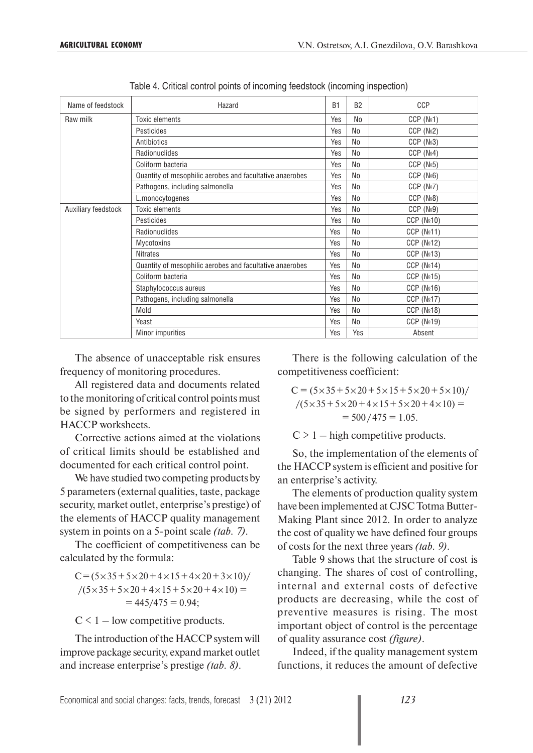| Name of feedstock   | Hazard                                                   | <b>B1</b> | B <sub>2</sub> | <b>CCP</b>              |
|---------------------|----------------------------------------------------------|-----------|----------------|-------------------------|
| Raw milk            | <b>Toxic elements</b>                                    | Yes       | No             | CCP(N <sub>2</sub> 1)   |
|                     | Pesticides                                               | Yes       | N <sub>0</sub> | CCP (No2)               |
|                     | Antibiotics                                              | Yes       | No             | CCP(N <sub>2</sub> 3)   |
|                     | Radionuclides                                            | Yes       | No             | CCP (No4)               |
|                     | Coliform bacteria                                        | Yes       | No             | CCP(N <sub>2</sub> 5)   |
|                     | Quantity of mesophilic aerobes and facultative anaerobes | Yes       | No             | CCP (N <sub>2</sub> 6)  |
|                     | Pathogens, including salmonella                          | Yes       | No             | CCP (N <sub>2</sub> 7)  |
|                     | L.monocytogenes                                          | Yes       | N <sub>0</sub> | CCP (N <sub>2</sub> 8)  |
| Auxiliary feedstock | <b>Toxic elements</b>                                    | Yes       | No             | CCP (No9)               |
|                     | Pesticides                                               | Yes       | No             | CCP (N <sub>2</sub> 10) |
|                     | Radionuclides                                            | Yes       | No             | CCP(N <sub>2</sub> 11)  |
|                     | <b>Mycotoxins</b>                                        | Yes       | No             | CCP(N <sub>2</sub> 12)  |
|                     | <b>Nitrates</b>                                          | Yes       | No             | CCP(N <sub>2</sub> 13)  |
|                     | Quantity of mesophilic aerobes and facultative anaerobes | Yes       | N <sub>0</sub> | CCP(N <sub>2</sub> 14)  |
|                     | Coliform bacteria                                        | Yes       | No             | CCP(N <sub>2</sub> 15)  |
|                     | Staphylococcus aureus                                    | Yes       | No             | CCP(N <sub>2</sub> 16)  |
|                     | Pathogens, including salmonella                          | Yes       | No             | CCP (No17)              |
|                     | Mold                                                     | Yes       | No             | CCP(N <sub>2</sub> 18)  |
|                     | Yeast                                                    | Yes       | No             | CCP(N <sub>2</sub> 19)  |
|                     | Minor impurities                                         | Yes       | Yes            | Absent                  |

Table 4. Critical control points of incoming feedstock (incoming inspection)

The absence of unacceptable risk ensures frequency of monitoring procedures.

All registered data and documents related to the monitoring of critical control points must be signed by performers and registered in HACCP worksheets.

Corrective actions aimed at the violations of critical limits should be established and documented for each critical control point.

We have studied two competing products by 5 parameters (external qualities, taste, package security, market outlet, enterprise's prestige) of the elements of HACCP quality management system in points on a 5-point scale *(tab. 7)*.

The coefficient of competitiveness can be calculated by the formula:

 $C = (5 \times 35 + 5 \times 20 + 4 \times 15 + 4 \times 20 + 3 \times 10)$ /  $/(5 \times 35 + 5 \times 20 + 4 \times 15 + 5 \times 20 + 4 \times 10) =$  $= 445/475 = 0.94$ ;

 $C < 1$  – low competitive products.

The introduction of the HACCP system will improve package security, expand market outlet and increase enterprise's prestige *(tab. 8)*.

There is the following calculation of the competitiveness coefficient:

$$
C = (5 \times 35 + 5 \times 20 + 5 \times 15 + 5 \times 20 + 5 \times 10) /
$$
  

$$
/(5 \times 35 + 5 \times 20 + 4 \times 15 + 5 \times 20 + 4 \times 10) =
$$
  

$$
= 500 / 475 = 1.05.
$$

 $C > 1 -$  high competitive products.

So, the implementation of the elements of the HACCP system is efficient and positive for an enterprise's activity.

The elements of production quality system have been implemented at CJSC Totma Butter-Making Plant since 2012. In order to analyze the cost of quality we have defined four groups of costs for the next three years *(tab. 9)*.

Table 9 shows that the structure of cost is changing. The shares of cost of controlling, internal and external costs of defective products are decreasing, while the cost of preventive measures is rising. The most important object of control is the percentage of quality assurance cost *(figure)*.

Indeed, if the quality management system functions, it reduces the amount of defective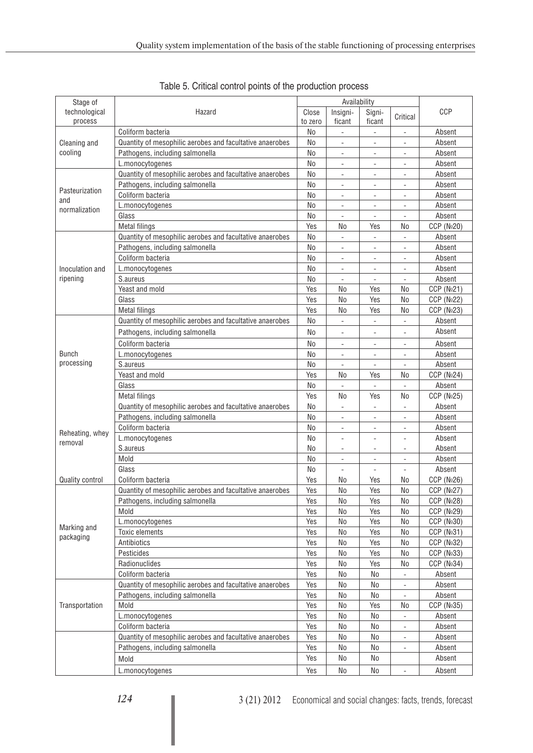| Stage of        |                                                          | Availability   |                              |                              |                              |                        |  |
|-----------------|----------------------------------------------------------|----------------|------------------------------|------------------------------|------------------------------|------------------------|--|
| technological   | Hazard                                                   | Close          | Insigni-                     | Signi-                       | Critical                     | CCP                    |  |
| process         |                                                          | to zero        | ficant                       | ficant                       |                              |                        |  |
|                 | Coliform bacteria                                        | No             | $\qquad \qquad \blacksquare$ | $\qquad \qquad -$            | $\overline{\phantom{0}}$     | Absent                 |  |
| Cleaning and    | Quantity of mesophilic aerobes and facultative anaerobes | No             | $\overline{\phantom{a}}$     | $\overline{\phantom{a}}$     | $\overline{\phantom{a}}$     | Absent                 |  |
| cooling         | Pathogens, including salmonella                          | <b>No</b>      | $\overline{\phantom{a}}$     | $\bar{\phantom{a}}$          | $\qquad \qquad \blacksquare$ | Absent                 |  |
|                 | L.monocytogenes                                          | <b>No</b>      | $\qquad \qquad \blacksquare$ | $\qquad \qquad -$            | $\overline{\phantom{a}}$     | Absent                 |  |
|                 | Quantity of mesophilic aerobes and facultative anaerobes | <b>No</b>      |                              | $\overline{\phantom{0}}$     |                              | Absent                 |  |
| Pasteurization  | Pathogens, including salmonella                          | No             | $\qquad \qquad \blacksquare$ | $\overline{\phantom{0}}$     | $\overline{a}$               | Absent                 |  |
| and             | Coliform bacteria                                        | <b>No</b>      | $\overline{a}$               | $\overline{a}$               | $\overline{a}$               | Absent                 |  |
| normalization   | L.monocytogenes                                          | No             | $\overline{a}$               | $\overline{a}$               | $\overline{a}$               | Absent                 |  |
|                 | Glass                                                    | No             | $\overline{\phantom{m}}$     | $\bar{\phantom{a}}$          | $\overline{\phantom{m}}$     | Absent                 |  |
|                 | <b>Metal filings</b>                                     | Yes            | No                           | Yes                          | No                           | CCP (No20)             |  |
|                 | Quantity of mesophilic aerobes and facultative anaerobes | N <sub>o</sub> | $\overline{\phantom{a}}$     | $\overline{\phantom{a}}$     | $\overline{a}$               | Absent                 |  |
|                 | Pathogens, including salmonella                          | No             | $\overline{a}$               | $\overline{\phantom{a}}$     | $\overline{\phantom{a}}$     | Absent                 |  |
|                 | Coliform bacteria                                        | No             | $\overline{a}$               | $\overline{\phantom{a}}$     | $\overline{\phantom{m}}$     | Absent                 |  |
| Inoculation and | L.monocytogenes                                          | No             | $\overline{\phantom{m}}$     | $\overline{\phantom{a}}$     | $\overline{\phantom{m}}$     | Absent                 |  |
| ripening        | S.aureus                                                 | <b>No</b>      |                              |                              |                              | Absent                 |  |
|                 | Yeast and mold                                           | Yes            | <b>No</b>                    | Yes                          | <b>No</b>                    | CCP(N <sub>2</sub> 21) |  |
|                 | Glass                                                    | Yes            | No                           | Yes                          | No                           | CCP(N <sub>0</sub> 22) |  |
|                 | <b>Metal filings</b>                                     | Yes            | No                           | Yes                          | No                           | CCP (No23)             |  |
|                 | Quantity of mesophilic aerobes and facultative anaerobes | No             | $\overline{\phantom{a}}$     | $\overline{\phantom{a}}$     | $\frac{1}{2}$                | Absent                 |  |
|                 | Pathogens, including salmonella                          | No             | $\overline{\phantom{m}}$     | $\bar{\phantom{a}}$          | L,                           | Absent                 |  |
|                 | Coliform bacteria                                        | No             | $\overline{a}$               | $\qquad \qquad \blacksquare$ | $\overline{\phantom{a}}$     | Absent                 |  |
| Bunch           | L.monocytogenes                                          | No             | $\overline{a}$               | $\overline{\phantom{a}}$     | ÷,                           | Absent                 |  |
| processing      | S.aureus                                                 | <b>No</b>      |                              |                              |                              | Absent                 |  |
|                 | Yeast and mold                                           | Yes            | <b>No</b>                    | Yes                          | No                           | CCP(N <sub>0</sub> 24) |  |
|                 | Glass                                                    | No             |                              |                              |                              | Absent                 |  |
|                 | Metal filings                                            | Yes            | No                           | Yes                          | No                           | <b>CCP (No25)</b>      |  |
|                 | Quantity of mesophilic aerobes and facultative anaerobes | No             | $\overline{\phantom{a}}$     | $\overline{\phantom{a}}$     | ÷,                           | Absent                 |  |
|                 | Pathogens, including salmonella                          | N <sub>o</sub> | $\overline{\phantom{a}}$     | $\blacksquare$               | $\qquad \qquad \blacksquare$ | Absent                 |  |
|                 | Coliform bacteria                                        | No             | $\blacksquare$               | $\overline{\phantom{a}}$     | $\overline{\phantom{a}}$     | Absent                 |  |
| Reheating, whey | L.monocytogenes                                          | No             | $\overline{a}$               | $\overline{a}$               | $\overline{\phantom{a}}$     | Absent                 |  |
| removal         | S.aureus                                                 | No             | $\blacksquare$               | $\overline{\phantom{a}}$     | $\overline{\phantom{a}}$     | Absent                 |  |
|                 | Mold                                                     | No             | $\overline{\phantom{a}}$     | $\overline{\phantom{a}}$     | $\qquad \qquad -$            | Absent                 |  |
|                 | Glass                                                    | No             | ÷,                           | $\overline{\phantom{a}}$     | $\qquad \qquad \blacksquare$ | Absent                 |  |
| Quality control | Coliform bacteria                                        | Yes            | No                           | Yes                          | No                           | CCP (No26)             |  |
|                 | Quantity of mesophilic aerobes and facultative anaerobes | Yes            | N <sub>o</sub>               | Yes                          | <b>No</b>                    | CCP (No27)             |  |
|                 | Pathogens, including salmonella                          | Yes            | $\operatorname{\mathsf{No}}$ | Yes                          | No                           | CCP (No28)             |  |
|                 | Mold                                                     | Yes            | No                           | Yes                          | No                           | <b>CCP (No29)</b>      |  |
|                 | L.monocytogenes                                          | Yes            | No                           | Yes                          | No                           | <b>CCP (No30)</b>      |  |
| Marking and     | <b>Toxic elements</b>                                    | Yes            | No                           | Yes                          | No                           | CCP (NΩ31)             |  |
| packaging       | Antibiotics                                              | Yes            | No                           | Yes                          | No                           | <b>CCP (No32)</b>      |  |
|                 | Pesticides                                               | Yes            | $\rm No$                     | Yes                          | No                           | CCP (№33)              |  |
|                 | Radionuclides                                            | Yes            | N <sub>o</sub>               | Yes                          | No                           | CCP (No34)             |  |
|                 | Coliform bacteria                                        | Yes            | No                           | No                           |                              | Absent                 |  |
|                 | Quantity of mesophilic aerobes and facultative anaerobes | Yes            | No                           | No                           |                              | Absent                 |  |
|                 | Pathogens, including salmonella                          | Yes            | No                           | No                           | $\overline{\phantom{a}}$     | Absent                 |  |
| Transportation  | Mold                                                     | Yes            | No                           | Yes                          | No                           | <b>CCP (No35)</b>      |  |
|                 | L.monocytogenes                                          | Yes            | $\rm No$                     | No                           |                              | Absent                 |  |
|                 | Coliform bacteria                                        | Yes            | No                           | No                           | $\qquad \qquad \blacksquare$ | Absent                 |  |
|                 | Quantity of mesophilic aerobes and facultative anaerobes | Yes            | No                           | No                           | $\qquad \qquad \blacksquare$ | Absent                 |  |
|                 | Pathogens, including salmonella                          | Yes            | No                           | No                           | $\qquad \qquad \blacksquare$ | Absent                 |  |
|                 |                                                          | Yes            | No                           | No                           |                              | Absent                 |  |
|                 | Mold                                                     |                |                              |                              |                              |                        |  |
|                 | L.monocytogenes                                          | Yes            | No                           | No                           | $\qquad \qquad \blacksquare$ | Absent                 |  |

Table 5. Critical control points of the production process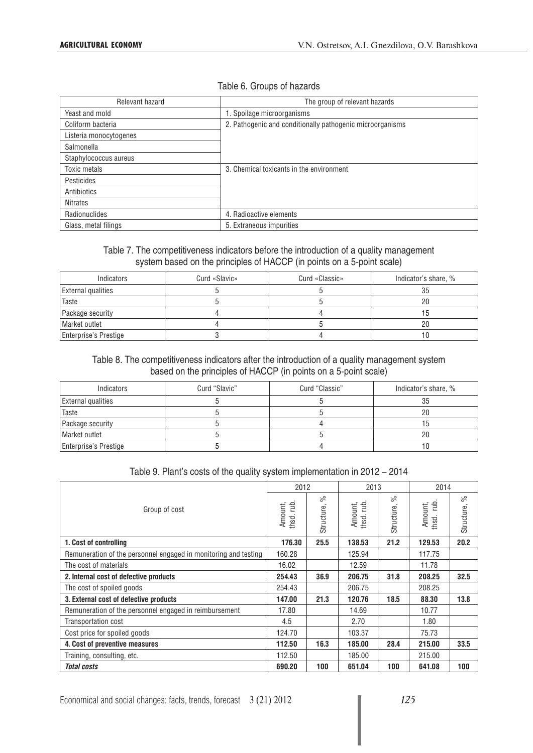### Table 6. Groups of hazards

| Relevant hazard        | The group of relevant hazards                             |
|------------------------|-----------------------------------------------------------|
| Yeast and mold         | 1. Spoilage microorganisms                                |
| Coliform bacteria      | 2. Pathogenic and conditionally pathogenic microorganisms |
| Listeria monocytogenes |                                                           |
| Salmonella             |                                                           |
| Staphylococcus aureus  |                                                           |
| Toxic metals           | 3. Chemical toxicants in the environment                  |
| Pesticides             |                                                           |
| Antibiotics            |                                                           |
| <b>Nitrates</b>        |                                                           |
| Radionuclides          | 4. Radioactive elements                                   |
| Glass, metal filings   | 5. Extraneous impurities                                  |

### Table 7. The competitiveness indicators before the introduction of a quality management system based on the principles of HACCP (in points on a 5-point scale)

| Indicators                   | Curd «Slavic» | Curd «Classic» | Indicator's share, % |
|------------------------------|---------------|----------------|----------------------|
| <b>External qualities</b>    |               |                | 35                   |
| Taste                        |               |                | 20                   |
| Package security             |               |                |                      |
| Market outlet                |               |                | 20                   |
| <b>Enterprise's Prestige</b> |               |                |                      |

## Table 8. The competitiveness indicators after the introduction of a quality management system based on the principles of HACCP (in points on a 5-point scale)

| Indicators                   | Curd "Slavic" | Curd "Classic" | Indicator's share, % |
|------------------------------|---------------|----------------|----------------------|
| <b>External qualities</b>    |               |                | 35                   |
| Taste                        |               |                |                      |
| Package security             |               |                | .b                   |
| Market outlet                |               |                | 20                   |
| <b>Enterprise's Prestige</b> |               |                |                      |

#### Table 9. Plant's costs of the quality system implementation in 2012 – 2014

|                                                                 | 2012                |                  | 2013                               |                  | 2014                     |                  |
|-----------------------------------------------------------------|---------------------|------------------|------------------------------------|------------------|--------------------------|------------------|
| Group of cost                                                   | Amount,<br>thsd.rub | వ్<br>Structure, | $\overline{E}$<br>Amount,<br>thsd. | వ్<br>Structure, | rub.<br>Amount,<br>thsd. | వి<br>Structure, |
| 1. Cost of controlling                                          | 176.30              | 25.5             | 138.53                             | 21.2             | 129.53                   | 20.2             |
| Remuneration of the personnel engaged in monitoring and testing | 160.28              |                  | 125.94                             |                  | 117.75                   |                  |
| The cost of materials                                           | 16.02               |                  | 12.59                              |                  | 11.78                    |                  |
| 2. Internal cost of defective products                          | 254.43              | 36.9             | 206.75                             | 31.8             | 208.25                   | 32.5             |
| The cost of spoiled goods                                       | 254.43              |                  | 206.75                             |                  | 208.25                   |                  |
| 3. External cost of defective products                          | 147.00              | 21.3             | 120.76                             | 18.5             | 88.30                    | 13.8             |
| Remuneration of the personnel engaged in reimbursement          | 17.80               |                  | 14.69                              |                  | 10.77                    |                  |
| Transportation cost                                             | 4.5                 |                  | 2.70                               |                  | 1.80                     |                  |
| Cost price for spoiled goods                                    | 124.70              |                  | 103.37                             |                  | 75.73                    |                  |
| 4. Cost of preventive measures                                  | 112.50              | 16.3             | 185.00                             | 28.4             | 215.00                   | 33.5             |
| Training, consulting, etc.                                      | 112.50              |                  | 185.00                             |                  | 215.00                   |                  |
| <b>Total costs</b>                                              | 690.20              | 100              | 651.04                             | 100              | 641.08                   | 100              |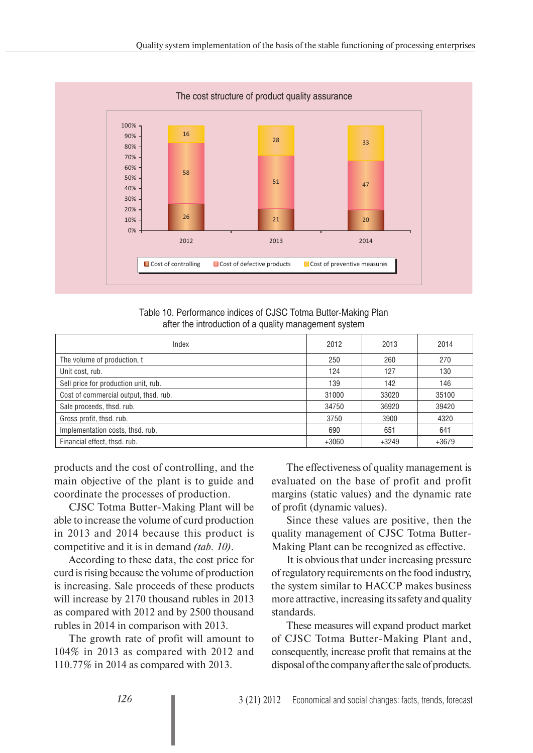

Table 10. Performance indices of CJSC Totma Butter-Making Plan after the introduction of a quality management system

| Index                                 | 2012    | 2013    | 2014    |
|---------------------------------------|---------|---------|---------|
| The volume of production, t           | 250     | 260     | 270     |
| Unit cost, rub.                       | 124     | 127     | 130     |
| Sell price for production unit, rub.  | 139     | 142     | 146     |
| Cost of commercial output, thsd. rub. | 31000   | 33020   | 35100   |
| Sale proceeds, thsd. rub.             | 34750   | 36920   | 39420   |
| Gross profit, thsd. rub.              | 3750    | 3900    | 4320    |
| Implementation costs, thsd. rub.      | 690     | 651     | 641     |
| Financial effect, thsd. rub.          | $+3060$ | $+3249$ | $+3679$ |

products and the cost of controlling, and the main objective of the plant is to guide and coordinate the processes of production.

CJSC Totma Butter-Making Plant will be able to increase the volume of curd production in 2013 and 2014 because this product is competitive and it is in demand *(tab. 10)*.

According to these data, the cost price for curd is rising because the volume of production is increasing. Sale proceeds of these products will increase by 2170 thousand rubles in 2013 as compared with 2012 and by 2500 thousand rubles in 2014 in comparison with 2013.

The growth rate of profit will amount to 104% in 2013 as compared with 2012 and 110.77% in 2014 as compared with 2013.

The effectiveness of quality management is evaluated on the base of profit and profit margins (static values) and the dynamic rate of profit (dynamic values).

Since these values are positive, then the quality management of CJSC Totma Butter-Making Plant can be recognized as effective.

It is obvious that under increasing pressure of regulatory requirements on the food industry, the system similar to HACCP makes business more attractive, increasing its safety and quality standards.

These measures will expand product market of CJSC Totma Butter-Making Plant and, consequently, increase profit that remains at the disposal of the company after the sale of products.